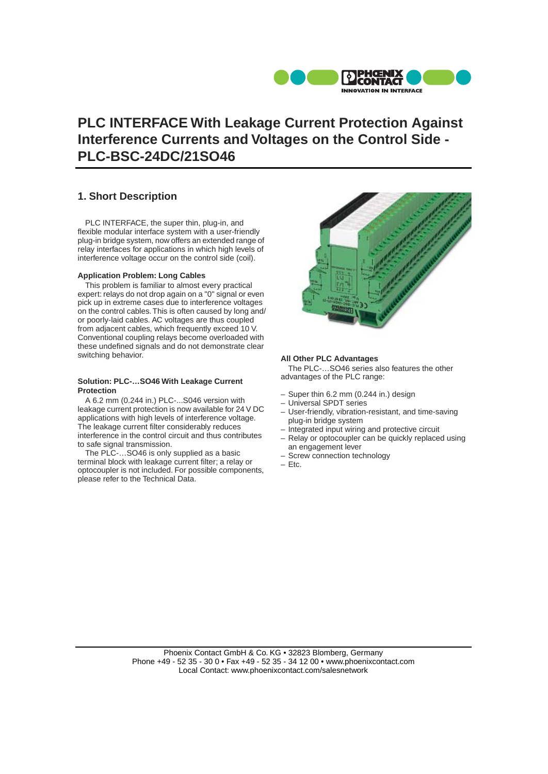

# **PLC INTERFACE With Leakage Current Protection Against Interference Currents and Voltages on the Control Side - PLC-BSC-24DC/21SO46**

## **1. Short Description**

PLC INTERFACE, the super thin, plug-in, and flexible modular interface system with a user-friendly plug-in bridge system, now offers an extended range of relay interfaces for applications in which high levels of interference voltage occur on the control side (coil).

#### **Application Problem: Long Cables**

This problem is familiar to almost every practical expert: relays do not drop again on a "0" signal or even pick up in extreme cases due to interference voltages on the control cables. This is often caused by long and/ or poorly-laid cables. AC voltages are thus coupled from adjacent cables, which frequently exceed 10 V. Conventional coupling relays become overloaded with these undefined signals and do not demonstrate clear switching behavior.

#### **Solution: PLC-…SO46 With Leakage Current Protection**

A 6.2 mm (0.244 in.) PLC-...S046 version with leakage current protection is now available for 24 V DC applications with high levels of interference voltage. The leakage current filter considerably reduces interference in the control circuit and thus contributes to safe signal transmission.

The PLC-…SO46 is only supplied as a basic terminal block with leakage current filter; a relay or optocoupler is not included. For possible components, please refer to the Technical Data.



#### **All Other PLC Advantages**

The PLC-…SO46 series also features the other advantages of the PLC range:

- Super thin 6.2 mm (0.244 in.) design
- Universal SPDT series
- User-friendly, vibration-resistant, and time-saving plug-in bridge system
- Integrated input wiring and protective circuit
- Relay or optocoupler can be quickly replaced using an engagement lever
- Screw connection technology
- Etc.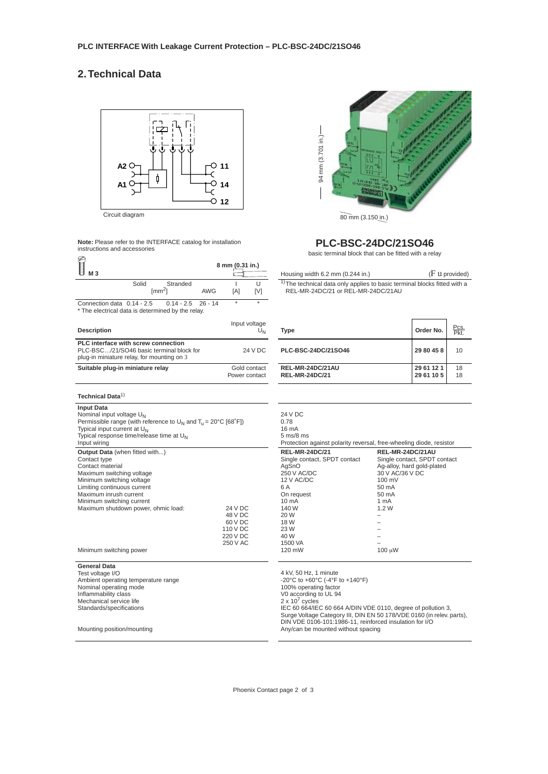# **2. Technical Data**



Circuit diagram

**Note:** Please refer to the INTERFACE catalog for installation instructions and accessories

| M 3                                                                                                                                                                                                                                                                                         | 8 mm (0.31 in.)<br>ſ۳                                             | Housir                                                                                                                                   |
|---------------------------------------------------------------------------------------------------------------------------------------------------------------------------------------------------------------------------------------------------------------------------------------------|-------------------------------------------------------------------|------------------------------------------------------------------------------------------------------------------------------------------|
| Solid<br>Stranded<br>$\text{[mm}^2$                                                                                                                                                                                                                                                         | U<br>ı<br>AWG<br>[A]<br>[V]                                       | $1)$ The<br>REL                                                                                                                          |
| Connection data 0.14 - 2.5<br>$0.14 - 2.5$<br>* The electrical data is determined by the relay.                                                                                                                                                                                             | ÷<br>÷<br>$26 - 14$                                               |                                                                                                                                          |
| <b>Description</b>                                                                                                                                                                                                                                                                          | Input voltage<br>U <sub>N</sub>                                   | Type                                                                                                                                     |
| PLC interface with screw connection<br>PLC-BSC/21/SO46 basic terminal block for<br>plug-in miniature relay, for mounting on 3                                                                                                                                                               | 24 V DC                                                           | PLC-B                                                                                                                                    |
| Suitable plug-in miniature relay                                                                                                                                                                                                                                                            | Gold contact<br>Power contact                                     | <b>REL-N</b><br><b>REL-N</b>                                                                                                             |
| Technical Data <sup>1)</sup>                                                                                                                                                                                                                                                                |                                                                   |                                                                                                                                          |
| <b>Input Data</b><br>Nominal input voltage U <sub>N</sub><br>Permissible range (with reference to $U_N$ and $T_U = 20^{\circ}C$ [68 $^{\circ}F$ ])<br>Typical input current at U <sub>N</sub><br>Typical response time/release time at $U_N$<br>Input wiring                                |                                                                   | 24 V D<br>0.78<br>16 mA<br>$5 \text{ ms}$ /8<br>Protec                                                                                   |
| <b>Output Data</b> (when fitted with)<br>Contact type<br>Contact material<br>Maximum switching voltage<br>Minimum switching voltage<br>Limiting continuous current<br>Maximum inrush current<br>Minimum switching current<br>Maximum shutdown power, ohmic load:<br>Minimum switching power | 24 V DC<br>48 V DC<br>60 V DC<br>110 V DC<br>220 V DC<br>250 V AC | <b>REL-N</b><br>Single<br>AqSnC<br>250 V<br>12 V A<br>6 A<br>On rec<br>10 mA<br>140 W<br>20 W<br>18 W<br>23 W<br>40 W<br>1500 V<br>120 m |
| <b>General Data</b><br>Test voltage I/O                                                                                                                                                                                                                                                     |                                                                   | 4 kV, 5                                                                                                                                  |
| Ambient operating temperature range<br>Nominal operating mode<br>Inflammability class<br>Mechanical service life<br>Standards/specifications                                                                                                                                                |                                                                   | $-20^{\circ}$ C<br>100%<br>V <sub>0</sub> acc<br>$2 \times 10$<br>IEC 60<br>Surge                                                        |
| Mounting position/mounting                                                                                                                                                                                                                                                                  |                                                                   | DIN VI<br>Any/ca                                                                                                                         |



### **PLC-BSC-24DC/21SO46**

basic terminal block that can be fitted with a relay

| Housing width $6.2$ mm $(0.244$ in.)                                                                                       | $(F$ u provided) |
|----------------------------------------------------------------------------------------------------------------------------|------------------|
| <sup>1)</sup> The technical data only applies to basic terminal blocks fitted with a<br>REL-MR-24DC/21 or REL-MR-24DC/21AU |                  |

| <b>Type</b>                               | Order No.                | Pcs.<br>Pkt. |
|-------------------------------------------|--------------------------|--------------|
| PLC-BSC-24DC/21SO46                       | 29 80 45 8               | 10           |
| REL-MR-24DC/21AU<br><b>REL-MR-24DC/21</b> | 29 61 12 1<br>29 61 10 5 | 18<br>18     |

| 24 V DC<br>0.78<br>16 mA<br>$5 \text{ ms}$ /8 ms<br>Protection against polarity reversal, free-wheeling diode, resistor                                                                           |                                                                                                                                                                                       |
|---------------------------------------------------------------------------------------------------------------------------------------------------------------------------------------------------|---------------------------------------------------------------------------------------------------------------------------------------------------------------------------------------|
| <b>REL-MR-24DC/21</b><br>Single contact, SPDT contact<br>AqSnO<br>250 V AC/DC<br>12 V AC/DC<br>6 A<br>On request<br>$10 \text{ mA}$<br>140 W<br>20 W<br>18 W<br>23 W<br>40 W<br>1500 VA<br>120 mW | REL-MR-24DC/21AU<br>Single contact, SPDT contact<br>Ag-alloy, hard gold-plated<br>30 V AC/36 V DC<br>$100 \text{ mV}$<br>$50 \text{ mA}$<br>$50 \text{ mA}$<br>1 mA<br>1.2W<br>100 uW |

4 kV, 50 Hz, 1 minute -20°C to +60°C (-4°F to +140°F) 100% operating factor V0 according to UL 94 2 x 10<sup>7</sup> cycles<br>IEC 60 664/IEC 60 664 A/DIN VDE 0110, degree of pollution 3,<br>Surge Voltage Category III, DIN EN 50 178/VDE 0160 (in relev. parts),<br>DIN VDE 0106-101:1986-11, reinforced insulation for I/O<br>Any/can be mounted